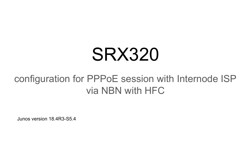# SRX320

# configuration for PPPoE session with Internode ISP via NBN with HFC

Junos version 18.4R3-S5.4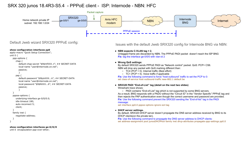# SRX 320 junos 18.4R3-S5.4 - PPPoE client - ISP: Internode - NBN: HFC



Default Jweb wizard SRX320 PPPoE config:

#### **show configuration interfaces pp0**

```
apply-macro "Quick Setup Connection";
unit 0 {
   ppp-options {
      chap {
         default-chap-secret "$9$mfXXX..t"; ## SECRET-DATA
         local-name "user@internode.on.net";
         passive;
         }
      pap {
         default-password "$9$ykXXX...k"; ## SECRET-DATA
         local-name "user@internode.on.net";
         local-password "$9$NXXX...6"; ## SECRET-DATA
         passive;
         }
 }
   pppoe-options {
      underlying-interface ge-0/0/0.0;
      idle-timeout 180;
      auto-reconnect 5;
      client;
 }
   family inet {
      negotiate-address;
 }
}
```
**show configuration interfaces ge-0/0/0** unit 0 encapsulation ppp-over-ether;

Issues with the default Jweb SRX320 config for Internode BNG via NBN:

#### **● NBN expects C-VLAN tag = 2.**

Untagged frame are discarded by NBN. The PPPoE PADI packet doesn't reach the ISP BNG **Fix:** tag the interface ge-0/0/0 with vlan-id 2

#### ● **Wrong QoS settings:**

By default SRX320 sends PPPoE PADI as "Network control" packet. QoS: PCP= CS6. NBN will drop any packet with QoS marking different than:

- $\circ$  TC4 (PCP = 0). Internet traffic (Best effort)
- TC1 (PCP = 5). Voice traffic if applicable

**Fix:** Use the following command to force "host-outbound" traffic to set the PCP to 0: set class-of-service host-outbound-traffic ieee-802.1 default be

#### **● SRX320 PADI "End-of-List" tag (detail on the next two slides)**

Wireshark trace shows:

○ PADI contains "End-of-List" tag which is not supported by some BNG servers. As a result, BNG responds with a PADO without the "Circuit ID" in the "Vendor Specific" PPPoE tag and then rejects the PAP authentication even though the correct username and password are provided. **Fix**: Use the following command prevent the SRX320 sending the "End-of-list" tag in the PADI message:

set interface pp0.0 pppoe-options ignore-eol-tag

#### ● **DHCP server settings.**

By default, SRX320 DHCP server doesn't propagate the DNS server address received by BNG to its DHCP clients(on the private lan).

**Fix**: Use the following command to propagate the DNS server address to DHCP clients: set address-assignment pool junosDHCPPool family inet dhcp-attributes propagate-ppp-settings pp0.0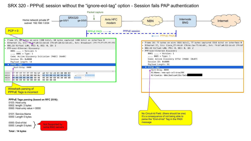# SRX 320 - PPPoE session without the "ignore-eol-tag" option - Session fails PAP authentication



**Total : 14 bytes**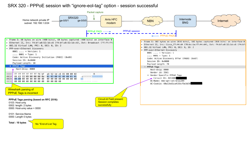# SRX 320 - PPPoE session with "ignore-eol-tag" option - session successful

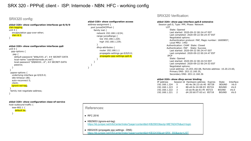# SRX 320 - PPPoE client - ISP: Internode - NBN: HFC - working config

# SRX320 config:

#### **al@al-320> show configuration interfaces ge-0/0/0** vlan-tagging; unit 0 { encapsulation ppp-over-ether; vlan-id 2; }

#### **al@al-320> show configuration interfaces pp0** unit 0 { ppp-options { pap { default-password "\$9\$yXXX..k"; ## SECRET-DATA local-name "user@internode.on.net"; local-password "\$9\$NXXX...6"; ## SECRET-DATA passive;

#### } }

```
 pppoe-options {
  underlying-interface ge-0/0/0.0;
  idle-timeout 180;
  auto-reconnect 5;
  client;
  ignore-eol-tag;
```

```
 }
  family inet negotiate-address;
}
```
#### **al@al-320> show configuration class-of-service**

host-outbound-traffic { ieee-802.1 { default be: }

#### **al@al-320> show configuration access** address-assignment { pool junosDHCPPool { family inet { network 192.168.1.0/24; range junosRange { low 192.168.1.220; high 192.168.1.239; } dhcp-attributes { router 192.168.1.1 propagate-settings ge-0/0/0.0; propagate-ppp-settings pp0.0; }

 } } }

## SRX320 Verification:

#### **al@al-320> show ppp interface pp0.0 extensive**

 Session pp0.0, Type: PPP, Phase: Network LCP State: Opened Last started: 2020-09-22 00:24:47 EST Last completed: 2020-09-22 00:24:47 EST Negotiated options: Authentication protocol: PAP, Magic number: 16009857, Local MRU: 1492 Authentication: CHAP State: Closed Authentication: PAP State: Success Last started: 2020-09-22 00:24:47 EST Last completed: 2020-09-22 00:24:47 EST IPCP State: Opened Last started: 2020-09-22 00:24:53 EST Last completed: 2020-09-22 00:24:53 EST Negotiated options: Local address: 14.203.182.68, Remote address: 10.20.23.60, Primary DNS: 203.12.160.35,

Secondary DNS: 203.12.160.36

#### **al@al-320> show dhcp server binding**

| IP address    |               | Session Id Hardware address Expires | State        | Interface        |
|---------------|---------------|-------------------------------------|--------------|------------------|
| 192.168.1.224 | 5.            | 40:4e:36:23:cb:40 85728             | <b>BOUND</b> | irb.0            |
| 192.168.1.223 | 4             | 88:e9:fe:24:08:03 85724             | <b>BOUND</b> | irb.0            |
| 192.168.1.222 | 3.            | c0:ee:fb:ab:61:f9 85723             | <b>BOUND</b> | irh.0            |
| 192.168.1.221 | $\mathcal{P}$ | d4:20:b0:f7:63:e1 85718             | <b>BOUND</b> | irb <sub>0</sub> |

| cе |                                                                                                                                   |
|----|-----------------------------------------------------------------------------------------------------------------------------------|
|    | References:                                                                                                                       |
|    | $\bullet$ RFC 2516                                                                                                                |
|    | • KB25653 (ignore-eol-tag)<br>https://kb.juniper.net/InfoCenter/index?page=content&id=KB25653&actp=METADATA&act=login             |
|    | • KB32435 (propagate ppp settings - DNS)<br>https://kb.juniper.net/InfoCenter/index?page=content&id=KB32435&cat=SRX 550&actp=LIST |